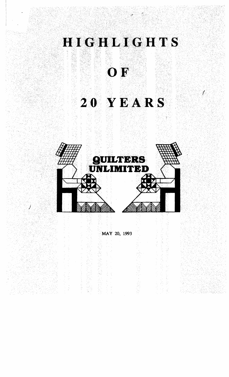

MAY 20, 1993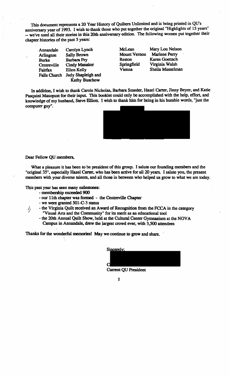This document represents a 20 Year History of Quilters Unlimited and is being printed in QU's anniversary year of 1993. I wish to thank those who put together the original "Highlights of 15 years" -- we've used all their stories in this 20th anniversary edition. The following women put together their chapter histories of the past 5 years:

| Annandale           | Carolyn Lynch        |
|---------------------|----------------------|
| Arlington           | <b>Sally Brown</b>   |
| <b>Burke</b>        | <b>Barbara Fry</b>   |
| Centreville         | <b>Cindy Manaker</b> |
| Fairfax             | Ellen Kelly          |
| <b>Falls Church</b> | Judy Shapleigh and   |
|                     | <b>Kathy Buschow</b> |

McLean Mary Lou Nelson Mount Vernon Reston Springfield Virginia Walsh<br>Vienna Sheila Musselm

Marlene Perry Karen Goettscb Sheila Musselman

In addition. I wish to thank Carole Nicholas. Barbara Smeder. Hazel Carter. Jinny Beyer, and Katie Pasquini Masopust for their input. This booklet could only be accomplished with the help, effort. and knowledge of my husband, Steve Elliott. I wisb to thank him for being in his humble words, "just the computer guy".



Dear Fellow QU members..

What a pleasure it has been to be president of this group. I salute our founding members and the "original 35", especially Hazel Carter, who has been active for all 20 years. I salute you, the present members with your diverse talents. and all those in between who helped us grow to what we are today.

This past year has seen many milestones:

- membership exceeded 900
- our 11th chapter was formed the Centreville Chapter
- we were granted SOl-C-3 status
- $\frac{1}{4}$  the Virginia Quilt received an Award of Recognition from the FCCA in the category / "Visual Arts and the Community" for its merit as an educational tool
	- the 20th Annual Quilt Show, held at the Cultural Center Gymnasium at the NOV A Campus in Annandale, drew the largest crowd ever, with 3,500 attendees

Thanks for the wonderful memories! May we continue to grow and share.

| Sincerely: |  |  |  |
|------------|--|--|--|

Current QU President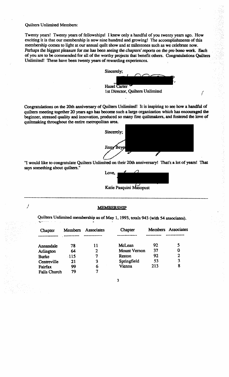Quilters Unlimited Members:

*i* 

Twenty years! Twenty years of fellowships! I knew only a handful of you twenty years ago. How exciting it is that our membership is now nine hundred and growing! The accomplishments ofthis membership comes to light at our annual quilt show and at milestones such as we celebrate now. Perhaps the biggest pleasure for me has been seeing the chapters' reports on the pro bono work. Each of you are to be commended for all of the worthy projects that benefit others. Congratulations Quilters Unlimited! These have been twenty years of rewarding experiences.



Congratulations on the 20th anniversary of Quilters Unlimited! It is inspiring to see how a handful of quilters meeting together 20 years ago bas become sucb a large organization whicb bas encouraged the beginner. stressed quality and innovation. produced so many fine quiltmakers. and fostered the love of quiltmaking throughout the entire metropolitan area.



!

"I would like to congratulate Quilters Unlimited on their 20th anniversary! That's a lot of yearsl That says something about quilters."



Katie Pasquini Masopust

# **MEMBERSHIP**

-------------------------------------------------------------------------------------------------------------------------

Quilters Unlimited membership as of May 1, 1993, totals 943 (with 54 associates).

| Chapter             | <b>Members</b> | Associates   | Chapter      |     | Members Associates |
|---------------------|----------------|--------------|--------------|-----|--------------------|
|                     |                |              |              |     |                    |
| Annandale           | 78             | 11           | McLean       | 92  | 5                  |
| Arlington           | 64             | $\mathbf{2}$ | Mount Vernon | 37  | 0                  |
| <b>Burke</b>        | $\cdot$ 115    | 7            | Reston       | 92  | $\mathbf{2}$       |
| Centreville         | 21             | 3            | Springfield  | 53  | 3                  |
| Fairfax             | 99             | 6            | Vienna       | 213 | 8                  |
| <b>Falls Church</b> | 79             |              |              |     |                    |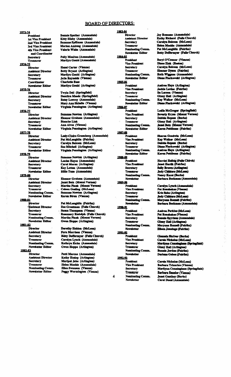# **BOARD OF DIRECTORS:**

#### 1973-74

11-14 President Vice President Vice President Vice President Vice President of Vice President Of Vice President Differential Coordinator Decretary Treasurer Coordinator Newsletter 1<br>15. The Director Assistant Different Coo resident<br>Fresident<br>President<br>President<br>President<br>Traditor<br>Therefore<br>Therefore<br>Therefore<br>Therefore<br>Therefore<br>Therefore<br>Therefore<br>Therefore<br>Therefore<br>Therefore<br>Therefore<br>Therefore<br>Therefore<br>Therefore<br>Therefore<br>Therefore<br>Ther **President 1st Vice President** 2nd Vice President 3rd Vice President 4th Vice President and Coordinator **Secretary Treasurer** 1974-75 **Director Assistant Director Secretary Treasurer** Coordinator **Newsletter Editor** 1975-76 **Director Assistant Director Secretary Treasurer Newsletter Editor** 1976-77 **Director Assistant Director Secretary** Treasurer

### **Newsletter Editor** 1977-78

**Director Assistant Director Secretary Treasurer Newsletter Editor** 

## 1978-79

**Director Assistant Director Secretary** Treasurer **Newsletter Editor** 

### 1979-80

**Director Assistant Director Secretary Treasurer**  $\sim$ **Nominating Comm. Newsletter Editor** 

## 1980-81

**Pirector** Assistant Director Secretary **Treasurer Nominating Comm. Newsletter Editor** 

#### 1981-82

**Director Assistant Director Secretary Treasurer** Nominating Comm. **Newsletter Editor** 

#### 1982-83

**Director Assistant Director Secretary Treasurer** Nominating Comm. **Newsletter Editor** 

**Bonnie Spather (Annandale)** Kitty Silsby (Annandale) Suzanne Spillman (Annandale) Marion Amlong (Annandale) Valerie White (Annandale)

**Polly Moulton (Annandale)** Marilyn Gould (Annandale)

ther (An<br>ther (An<br>pillman (Annan<br>pillman (Annan<br>niong (An<br>niong (An<br>niong (An<br>niong (An<br>niong (An<br>niong if alily if alily in the season of the Sass ould (Ari<br>nessay ould (Arily in the season of the season of the season of Hazel Carter (Vienna) Betty Bryant (Arlington) Marilyn Gould (Arlington) Julie Reynolds (Vienna) **Charlotte Bass** Marilyn Gould (Arlington)

Twyla Dell (Springfield) Damitra Meeds (Springfield) **Betsy Lowrey (Annandale)** Mary Ann Shindle (Vienna) Virginia Pennington (Arlington)

Suzanne Newton (Arlington) Eleanor Graham (Annandale) **Blanche Link Ann Alves (Vienna)** Virginia Pennington (Arlington)

Lesly-Claire Greenberg (Annandale) Pat McLaughlin (Fairfax) Carolyn Balcom (McLean)

tom)<br>
(Arlington)<br>
(Arlington)<br>
ndaie)<br>
tytom)<br>
ndaie)<br>
ale)<br>
nnandaie)<br>
("Thom)<br>
("Thom)<br>
lemna)<br>
se Church)<br>
(Falls Church)<br>
nnan)<br>
gtom)<br>
rifus ("Thom")<br>
tytom)<br>
pican)<br>
mandale)<br>
andale)<br>
tytom)<br>
ndaie)<br>
tytom)<br>
ndaie)

bannie Spathe<br>tity Silsby (*A*<br>tity Silsby (*Axanne* Spilln<br>iarion Amion<br>arion Amion<br>arion Amion<br>arion Amion<br>arion Amion<br>arion Gould<br>arion Gould<br>arion Gould<br>arion Gould<br>harlotte Base<br>with Bernelds<br>thanking Letting Muzanne

#### 1983-84 **Director**

Director<br>Ig Comm.<br>I Editor<br>dent Hamman<br>Hamman<br>Herctor Sistant I<br>Scretchry reasurer<br>Freshistant I<br>Greenland (Freshistant Freshistant Freshistant Freshistant Freshistant Freshistant Freshistant Freshistant<br>Freshistant (Freshistant Freshistant Freshistant F r I . r ' r ,. r I r I fi I If I fi I fi ii r **Secretary** 1984-85 **President Secretary Treasurer Nominating Comm. Newsletter Editor** 1985-86 President Vice President **Secretary Treasurer** Nominating Comm. Newsletter Editor 1986-87 **President** Vice President **Secretary Treasurer Nominating Comm. Newsletter Editor** 1987-88 **President** Vice President **Secretary Tressurer Nominating Comm.** Newsletter Editor 1988-89 President Vice President **Secretary Treasurer Nominating Comm. Newsletter** 1989-90 **President** Vice President **Secretary Treasurer** Nominating Comm. Newsletter 1998-91 President Vice President **Secretary Treasurer** Nominating Comm. **Newsletter** 1991-92 **President Vice President Secretary Treasurer Nominating Comm. Newsletter** 1992-93 President Vice President **Secretary** 

Jay Romano (Annandale) Kathy Richard (Falls Church) Carolyn Balcom (McLean) Helen Mochle (Annandale) Pat McLaughlin (Fairfax) Betty Doffermyer (Falls Church)

Beryl O'Connor (Vienna) Diane Zink (Reston) Carolyn Balcom (McLean) Eleanor Dyson (Fairfax) Ruth Wiggans (Annandale) Disne Florkowski (Arlington)

Andrea Hays (Arlington) Jackie Levine (Fairfax) Ila Larson (Vienna) Ginny Hall (Arlington) Kay Walker (McLean) Diane Florkowski (Arlington)

Romano (An<br>
y Richard (An<br>
y Richard (I)<br>
y Richard (I)<br>
y Richard (I)<br>
n Moethe (A<br>
n Moethe (A<br>
n Moethe (I)<br>
n Moethe (I)<br>
n Doffermyea<br>
il O'Connor Dyson (I)<br>
wiggans (A<br>
if Doffermyea<br>
e Florkowsk<br>
rea Hays (Ai<br>
de Fl Leslie McGregor (Springfield) Beverly Krysa (Mount Vernon) Debbie Repass (Burke) Ginny Hall (Arlington) **Janet Betz (Mount Vernon)** Karen Pettibone (Fairfax)

Sharon Goodwin (McLean) Kay Walker (McLean) Debbie Repass (Burke) Diane Florkowski (Artington) Andrea Hays (Arlington) Karen Pettibone (Fairfax)

Harriet Halbig (Falls Chirch) **Janet Hortik (Fairfax) Sally Brown (Arlington)** Judy Childers (McLean) Nancy Karat (Burke) **Barbara Bockman (Aunandale)** 

Carolyn Lynch (Annandale) Pat Ronshakes (Vienna) Kris Sabo (Arlington) Judy Childers (McLean) Maryann Roznell (Fairfax) Barbara Bockman (Annandale)

**Andrea Perkins (McLean)** Pat Roushakes (Vienna) **Bonnie Spyrison (Annandale)** Ginny Hall (Arlington) Maryann Rozzell (Fairfax) Eileen Jennings (Fairfax)

**Glennda Shriver (Burke)** Carole Nicholas (McLean) Maritynn Cunningham (Springfield) Giuny Hall (Arlington) **Bunnie Jordan (Fairfax)** Dariene Geboe (Fairfax)

Carole Nicholas (McLean) **Barbara Tricarico (Vienna)** Marilynn Cunningham (Springfield) **Barbara Smeder (Vienna) Janet Gauthey (Burke)** Carol Duesi (Annandale)

**Treasurer** 

**Newsletter** 

**Nominating Comm.**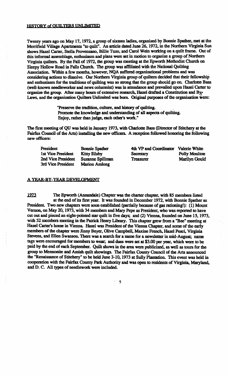## HISTORY of OUILTERS UNLIMITED

Twenty years ago on May 17, 1972, a group of sixteen ladies, organized by Bonnie Spather, met at the Merrifield Village Apartments "to quilt". An article dated June 26, 1972, in the Northern Virginia Sun shows Hazel Carter, Stella Provensano, Billie Tuzo, and Carol Wein working on a quilt frame. Out of this informal assemblage, enthusiasm and plans were set in motion to organize a group of Northern Virginia quilters. By the Fall of 1972, the group was meeting at the Epworth Methodist Church on Sleepy Hollow Road in Falls Church. The group was affiliated with the National Quilting Association. Within a few months, however, NQA suffered organizational problems and was considering actions to dissolve. Our Northern Virginia group of quilters decided that their fellowship and enthusiasm for the traditions of quilting was so strong that the group should go on. Charlotte Bass (well-known needleworker and news columnist) was in attendance and prevailed upon Hazel Carter to organize the group. After many hours of extensive research, Hazel drafted a Constitution and By-Laws, and the organization Quilters Unlimited was born. Original purposes of the organization were:

> "Preserve the tradition, culture, and history of quilting. Promote the knowledge and understanding of all aspects of quilting. Enjoy. rather than judge, each other's work. "

The first meeting of OU was held in January 1973, with Charlotte Bass (Director of Stitchery at the Fairfax Council of the Arts) installing the new officers. A reception followed honoring the following new officers:

| President          | <b>Bonnie Spather</b> |
|--------------------|-----------------------|
| 1st Vice President | <b>Kitty Silsby</b>   |
| 2nd Vice President | Suzanne Spillmar      |
| 3rd Vice President | <b>Marion Amlong</b>  |

4th VP and Coordinator Valerie White Secretary Polly Moulton n 2012 - Treasurer Marilyn Gould

# A YEAR-BY-YEAR DEVELOPMENT

1973 The Epworth (Annandale) Chapter was the charter chapter, with 85 members listed at the end of its first year. It was founded in December 1972, with Bonnie Spather as President. Two new chapters were soon established (partially because of gas rationing!): (1) Mount Vernon, on May 20, 1973, with 34 members and Mary Pepe as President, who was reported to have cut out and pieced an eight-pointed star quilt in five days; and (2) Vienna, founded on June 15, 1973, with *52* members meeting in the Patrick Henry Library. This chapter grew from a "Bee" meeting at Hazel Carter's home in Vienna. Hazel was President of the Vienna Chapter, and some of the early members of the chapter were Jinny Beyer, Olive Campbell, Maxine French, Hazel Pesci, Virginia Stevens, and Ellen Swanson. There was a search for a name for a newsletter in mid-August; name tags were encouraged for members to wear; and dues were set at \$3.00 per year, which were to be paid by the end of each September. Quilt shows in the area were publicized, as well as tours for the group to Mennonite and Amish quilt showings. The Fairfax County Council of the Arts announced the "Renaissance of Stitchery" to be held June 3-10, *1'T13* at Sully Plantation. This event was held in cooperation with the Fairfax County Park Authority and was open to residents of Virginia, Maryland. and D. C. All types of needlework were included.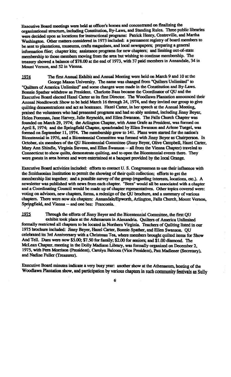Bxecutive Board meetings were held at officer's homes and concenuated on finalizing the organizational structure, including Constitution, By-Laws, and Standing Rules. Three public libraries were decided upon as locations for insttuctional programs: Patrick Henry. Centreville, and Martha Washington. Other matters considered in 1973 included: a permanent registry of board members to be sent to plantations, museums, crafts magazines, and local newspapers; preparing a general information flier; chapter kits; assistance programs for new chapters; and limiting out-of-state membership to those members moving from the area but wishing to continue membership. The treasury showed a balance of \$78.00 at the end of 1973, with 37 paid members in Annandale, 34 in Mount Vernon, and 52 in Vienna.

1974 The first Annual Exhibit and Annual Meeting were held on March 9 and 10 at the George Mason University. The name was changed from "Quilters Unlimited" to "Quilters of America Unlimited" and some changes were made in the Constitution and By-Laws. Bonnie Spather withdrew as President. Charlotte Bass became the Coordinator of QU and the Executive Board elected Hazel Carter as its first Director. The Woodlawn Plantation announced their Annual Needlework Show to be held Mareh 16 through 24, 1914, and they invited our group to give quilting demonstrations and act as hostesses. Hazel Carter, in her speech at the Annual Meeting. praised the volunteers who had presented programs and had so ably assisted, including Jinny Beyer, Helen Foreman, Jane Harvey, Julie Reynolds, and Ellen Swanson. The Falls Church Chapter was founded on Mareh 29, 1914; the Arlington Chapter, with Anne Grafe as President. was formed on April 8, 1974; and the Springfield Chapter, spearheaded by Ellen Swanson and Arlene Tuegel, was formed on September.11. 1974. The membership grew to 141. Plans were started for the nation's Bicentennial in 1976, and a Bicentennial Committee was formed with Jinny Beyer as Chairperson. In October, six members of the QU Bicentennial Committee (Jinny Beyer, Olive Campbell, Hazel Carter, Mary Ann Shindle, Virginia Stevens, and Ellen Swanson -- all from the Vienna Chapter) traveled to Connecticut to show quilts; demonstrate quilting. and to open the Bicentennial events there. They were guests in area homes and were entertained at a banquet provided by the local Orange.

Executive Boanl activities included: efforts to contact U. S. Congressmen to use their influence with the Smithsonian Institution to permit the showing of their quilt collection; efforts to get the membership list together; and a possible survey of the group (regarding interests, locations, etc.). A newsletter was published with news from each chapter. "Bees" would all be associated with a chapter and a Coordinating Council would be made up of chapter representatives. Other topics covered were: voting on advisors, new chapters, forms, a redesign of the QU brochure, and a summary of various chapters. There were now six chapters: Annandale/Epworth, Arlington, Falls Church, Mount Vernon, Springfield, and Vienna - and one bee: Franconia.

1975 Through the efforts of Jinny Beyer and the Bicentennial Committee, the first QU exhibit took place at the Athenaeum in Alexandria. Quilters of America Unlimited formally restricted all chapters to be located in Northern Virginia. Teachers of Quilting listed in our 1915 brochure included: Jiony Beyer, Hazel Carter, Bonnie Spather, and Ellen Swanson. QU celebrated its 3rd Anniversary with a Christmas Tea, where members brought quilted items for Show And Tell. Dues were now \$5.00; \$7.50 for family; \$2.00 for seniors; and \$1.00 diamond. The McLean Chapter, meeting in the Dolly Madison Library, was formally organized on December 2. 1915. with Fern Morrison (President). Carolyn Balcom (Vice President), Patt Madlener (Secretary). and Nadine Fuller (Treasurer).

~

Executive Board mjnutes indicate a very busy year: another show at the Athenaeum, hosting of the Woodlawn Plantation show. and participation by various chapters in such community festivals as Sully

6'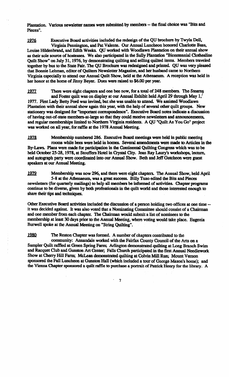Plantation. Various newsletter names were submitted by members - the final choice was "Bits and Pieces".

.l2Z6 Executive Board activities included the redesign of the QU brochure by Twyla Dell, Virginia Pennington, and Pat Valente. Our Annual Luncheon honored Charlotte Bass, Louise Hildenbrand, and Edith Weeks. QU worked with Woodlawn Plantation on their annual show as their sole source of hostesses. We also participated in the Sully Plantation "Bicentennial Clothesline Quilt Show" on July 31, 1976, by demonstrating quilting and selling quilted items. Members traveled together by bus to the State Fair. The QU Brochure was redesigned and printed. QU was very pleased that Bonnie Lehman, editor of Quilters Newsletter Magazine, and her husband came to Northern Virginia especially to attend our Annual Quilt Show, held at the Athenaeum. Areeeption was held in her honor at the home of Jinny Beyer. Dues were raised to \$6.00 per year.

1977 There were eight chapters and one bee now, for a total of 248 members. The Stearns and Foster quilt was on display at our Annual Exhibit held April 29 through May 1, 1977. First Lady Betty Ford was invited, but she was unable to attend. We assisted Woodlawn Plantation with their annual show again this year, with the help of several other quilt groups. New stationery was designed for "important correspondence". Executive Board notes indicate a discussion ofhaving out-of-state members-at-Iarge so that they could receive newsletters and announcements, and regular memberships limited to Northern Virginia residents. A QU "Quilt As You Go" project was worked on all year, for raffle at the 1978 Annual Meeting.

1978 Membership numbered 286. Executive Board meetings were held in public meeting rooms while bees were held in homes. Several amendments were made to Articles in the By-Laws. Plans were made for participation in the Continental Quilting Congress which was to be held October *2S-28,* 1978. at Stouffers Hotel in Crystal Oty. Jean Ray Laury's workshops, lecture, and autograph party were coordinated into our Annual Show. Beth and Jeff Gutcheon were guest speakers at our Annual Meeting.

1979. Membership was now 296, and there were eight chapters. The Annual Show, held April 5-8 at the Athenaeum, was a great success. Billy Tuzo edited the Bits and Pieces newsletters (for quarterly mailings) to help all members be informed of activities. Chapter programs continue to be diverse, given by both professionals in the quilt world and those interested enough to share their tips and techniques.

Other Executive Board activities included the discussion of a person holding two offices at one time -it was decided against. It was also voted that a Nominating Committee should consist of a Chairman and one member from each chapter. The Chairman would submit a list of nominees to the membership at least 30 days prior to the Annual Meeting, where voting would take place. Eugenia Burwell spoke at the Annual Meeting on "String Quilting" .

1980. The Reston Chapter was formed. A number of chapters contributed to the

community: Annandale worked with the Fairfax County Council of the Arts on a Sampler Quilt raffled at Green Spring Farm; Arlington demonstrated quilting at Long Branch Swim and Racquet Club and Gunston Art Center; Falls Church participated in the first Annual Needlework Show at Cherry Hill Farm; McLean demonstrated quilting at Colvin Mill Run; Mount Vernon sponsored the Fall Luncheon at Gunston Hall (which included a tour of George Mason's home); and the Vienna Chapter sponsored a quilt raffle to purchase a portrait of Patrick Henry for the library. A

. 7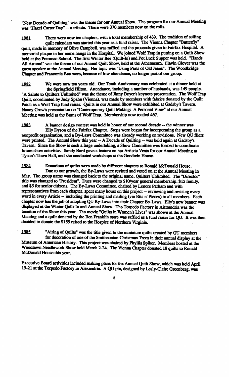"New Decade of Quilting" was the theme for our Annual Show. The program for our Annual Meeting was "Hazel Carter Day" - a tribute. There were 370 members now on the rolls.

1981 There were now ten chapters, with a total membership of 439. The tradition of selling quilt calendars was started this year as a fund raiser. The Vienna Chapter "Butterfly" quilt, made in memory of Olive Campbell, was raffled and the proceeds given to Fairfax Hospital. A memorial plaque in her name hangs in the Hospital. We joined Wolf Trap in putting on a Quilt Show held at the Potomac School. The first Winter Bee (Quilt-In) and Pot Luck Supper was held. "Hands All Around" was the theme of our Annual Quilt Show, held at the Athenaeum. Flavin Glover was the guest speaker at the Annual Meeting. Her topic was "Using Parts of Old Jeans". The Woodbridge Chapter and Franconia Bee were, because of low attendance, no longer part of our group.

1982 We were now ten years old. Our Tenth Anniversary was celebrated at a dinner held at the Springfield Hilton. Attendance, including a number of husbands, was 149 people. "A Salute to Quilters Unlimited" was the theme of Jinny Beyer's keynote presentation. The Wolf Trap Quilt, coordinated by Judy Spahn (Vienna), was made by members with fabrics donated by the Quilt Patch as a Wolf Trap fund raiser. Quilts in our Annual Show were exhibited at Gadsby's Tavern. Nancy Crow's presentation on "Contemporary Ouilt Making: A Personal View" at our Annual Meeting was held at the Barns of Wolf Trap. Membership now totaled 467.

1983 A banner design contest was held in honor of our second decade -- the winner was Elly Dyson of the Fairfax Chapter. Steps were begun for incorporating the group as a nonprofit organization, and a By-Laws Committee was already working on revisions. New QU fliers were printed. The Annual Show this year  $-$  A Decade of Quilting  $-$  was held again at Gadsby's Tavern. Since the Show is such a large undertaking, a Show Committee was formed to coordinate future show activities. Sandy Bard gave a lecture on her Artistic Vests for our Annual Meeting at Tyson's Town Hall, and she conducted workshops at the Goodwin House.

1984 Donations of quilts were made by different chapters to Ronald McDonald House. Due to our growth. the By-Laws were revised and voted on at the Annual Meeting in May. The group name was changed back to the original name, Quilters Unlimited. The "Director" title was changed to "President". Dues were changed to \$10/year general membership, \$15 family, and \$5 for senior citizens. The By-Laws Committee. chaired by Lenore Parham and with representatives from each chapter. spent many homs on this project - reviewing and revising every word in every Article -- including the printing and mailing (via Bits n' Pieces) to all members. Each chapter now has the job of adopting QU By-Laws into their Chapter By-Laws. Elly's new banner was displayed at the Winter Quilt-In and Annual Show. The Torpedo Factory in Alexandria was the location of the Show this year. The movie "Quilts in Women's Lives" was shown at the Annual Meeting and a quilt donated by the Ben Franklin store was raffled as a fund raiser for QU. It was then decided to donate the \$155 raised to the Hospice of Northern Virginia.

l28S. "Airing of Quilts" was the title given to the miniature quilts created by QU members for decoration of one of the Smithsonian Christmas Trees in their annual display at the Museum of American History. This project was chaired by Phyllis Spiker. Members hosted at the Woodlawn Needlework Show held March 2-24. The Vienna Chapter donated 18 quilts to Ronald McDonald House this year.

Executive Boatd activities included making plans for the Annual Quilt Show, which was held April 19-21 at the Torpedo Factory in Alexandria. A QU pin, designed by Lesly-Oaire Greenberg, was

8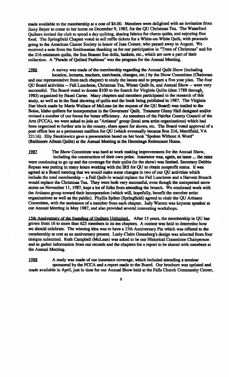made available to the membership at a cost of \$4.00. Members were delighted with an invitation from linny Beyer to come to her home on December 9, 1985, for the QU Christmas Tea. The Waterford Quilters invited the club to spend a day quilting, sharing fabrics for charm quilts, and enjoying fine food. The Springfield Chapter voted to sell raffle tickets for a White-on-White Quilt, with proceeds going to the American Cancer Society in honor of Jean Cosner, who passed away in August. We received a note from the Smithsonian thanking us for our participation in "Trees of Christmas" and for the 216 miniature quilts, the Sun Bonnet Sue dolls, baskets, etc., which are now a part of their collection. A "Parade of Quilted Fashions" was the program for the Annual Meeting.

1986 A survey was made of the membership regarding the Annual Quilt Show (including location, lectures, teachers, merchants, changes, etc.) by the Show Committee (Chairman and one representative from each chapter) to study the issues and to prepare a five year pIan. The four QU Board activities -- Fall Luncheon, Christmas Tea, Winter Quilt-In, and Annual Show -- were very successful. The Board voted to donate \$100 to the Search for Virginia Quilts (date 1788 through, 1985) organized by Hazel Carter. Many chapters and members participated in the research ofthis study, as well as in the final showing of quilts and the book being published in 1987. The Virginia Star block made by Marie Wallace of McLean (at the request of the QU Board) was mailed to the Boise, Idaho quilters for incorporation in the Governors' Quilt. Treasurer Ginny Hall designed and/or revised a number of our forms for better efficiency. As members of the Fairfax County Council of the Arts (FCCA), we were asked to join an "Artisans" group (local area artist organizations) which bad been organized to further arts in the county, share space for shows, etc. The Board voted approval of a post office box as a permanent mailbox for QU (which eventually became Box 216, Merrifield, VA 22116). Elly Sienkiewicz gave a presentation based on her book "Spoken Wltbout A Word" (Baltimore Album Quilts) at the Annual Meeting at the Hermitage Retirement Home.

1987 The Show Committee was hard at work making improvements for the Annual Show, including the construction of their own poles. Insurance was, again, an issue ... the rates were continuing to go up and the coverage for their quilts (in the show) was limited. Secretary Debbie Repass was putting in many hours working with the IRS for QU to. obtain nonprofit status. It was agreed at a Board meeting that we would make some changes in two of our QU activities which include the total membership -- a Fall Quilt-In would replace the Fall Luncheon and a Harvest Brunch would replace the Christmas Tea. They were both very successful. even though the unexpected snow storm on November 11, 1987, kept a lot of folks from attending the brunch. We continued work with the Artisans group towatd their incorporation (which will, hopefully. benefit the member artist organizations as well as the public). Phyllis Spiker (Springfield) agreed to chair the QU Artisans Committee, with the assistance of a member from each chapter. Judy Warren was keynote speaker at our Annual Meeting in May 1987, and also provided several interesting workshops.

15th Anniversary of the founding of Ouilters Unlimited. After 15 years, the membership in QU has grown from 16 to more than 625 members in its ten chapters. A contest was held to determine how we should celebrate. The winning idea was to have a 15th Anniversary Pin which was offered to the membership at cost as an anniversary present. Lesly-Claire Greenberg's design was selected from four designs submitted. Ruth Campbell (McLean) was asked to be our Historical Committee Chairperson and to gather information from our records and the chapters for a report to be shared with members at the Annual Meeting.

1988 A study was made of our insurance coverage, which included attending a seminar sponsored by the FCCA and a report made to the Board. Our brochure was updated and made available in April, just in time for our Annual Show held at the Falls Church Community Center,

. 9